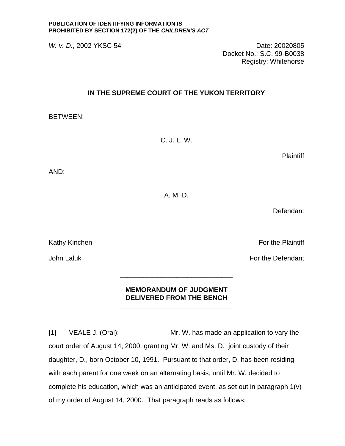## **PUBLICATION OF IDENTIFYING INFORMATION IS PROHIBITED BY SECTION 172(2) OF THE** *CHILDREN'S ACT*

*W. v. D.*, 2002 YKSC 54 Date: 20020805 Docket No.: S.C. 99-B0038 Registry: Whitehorse

## **IN THE SUPREME COURT OF THE YUKON TERRITORY**

BETWEEN:

C. J. L. W.

**Plaintiff** 

AND:

A. M. D.

**Defendant** 

Kathy Kinchen For the Plaintiff

John Laluk For the Defendant

 $\frac{1}{\sqrt{2}}$  ,  $\frac{1}{\sqrt{2}}$  ,  $\frac{1}{\sqrt{2}}$  ,  $\frac{1}{\sqrt{2}}$  ,  $\frac{1}{\sqrt{2}}$  ,  $\frac{1}{\sqrt{2}}$  ,  $\frac{1}{\sqrt{2}}$  ,  $\frac{1}{\sqrt{2}}$  ,  $\frac{1}{\sqrt{2}}$  ,  $\frac{1}{\sqrt{2}}$  ,  $\frac{1}{\sqrt{2}}$  ,  $\frac{1}{\sqrt{2}}$  ,  $\frac{1}{\sqrt{2}}$  ,  $\frac{1}{\sqrt{2}}$  ,  $\frac{1}{\sqrt{2}}$ 

 $\frac{1}{\sqrt{2}}$  ,  $\frac{1}{\sqrt{2}}$  ,  $\frac{1}{\sqrt{2}}$  ,  $\frac{1}{\sqrt{2}}$  ,  $\frac{1}{\sqrt{2}}$  ,  $\frac{1}{\sqrt{2}}$  ,  $\frac{1}{\sqrt{2}}$  ,  $\frac{1}{\sqrt{2}}$  ,  $\frac{1}{\sqrt{2}}$  ,  $\frac{1}{\sqrt{2}}$  ,  $\frac{1}{\sqrt{2}}$  ,  $\frac{1}{\sqrt{2}}$  ,  $\frac{1}{\sqrt{2}}$  ,  $\frac{1}{\sqrt{2}}$  ,  $\frac{1}{\sqrt{2}}$ 

## **MEMORANDUM OF JUDGMENT DELIVERED FROM THE BENCH**

[1] VEALE J. (Oral): Mr. W. has made an application to vary the court order of August 14, 2000, granting Mr. W. and Ms. D. joint custody of their daughter, D., born October 10, 1991. Pursuant to that order, D. has been residing with each parent for one week on an alternating basis, until Mr. W. decided to complete his education, which was an anticipated event, as set out in paragraph 1(v) of my order of August 14, 2000. That paragraph reads as follows: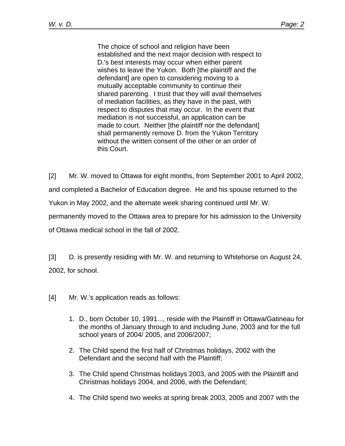The choice of school and religion have been established and the next major decision with respect to D.'s best interests may occur when either parent wishes to leave the Yukon. Both [the plaintiff and the defendant] are open to considering moving to a mutually acceptable community to continue their shared parenting. I trust that they will avail themselves of mediation facilities, as they have in the past, with respect to disputes that may occur. In the event that mediation is not successful, an application can be made to court. Neither [the plaintiff nor the defendant] shall permanently remove D. from the Yukon Territory without the written consent of the other or an order of this Court.

[2] Mr. W. moved to Ottawa for eight months, from September 2001 to April 2002, and completed a Bachelor of Education degree. He and his spouse returned to the Yukon in May 2002, and the alternate week sharing continued until Mr. W. permanently moved to the Ottawa area to prepare for his admission to the University of Ottawa medical school in the fall of 2002.

[3] D. is presently residing with Mr. W. and returning to Whitehorse on August 24, 2002, for school.

- [4] Mr. W.'s application reads as follows:
	- 1. D., born October 10, 1991..., reside with the Plaintiff in Ottawa/Gatineau for the months of January through to and including June, 2003 and for the full school years of 2004/ 2005, and 2006/2007;
	- 2. The Child spend the first half of Christmas holidays, 2002 with the Defendant and the second half with the Plaintiff;
	- 3. The Child spend Christmas holidays 2003, and 2005 with the Plaintiff and Christmas holidays 2004, and 2006, with the Defendant;
	- 4. The Child spend two weeks at spring break 2003, 2005 and 2007 with the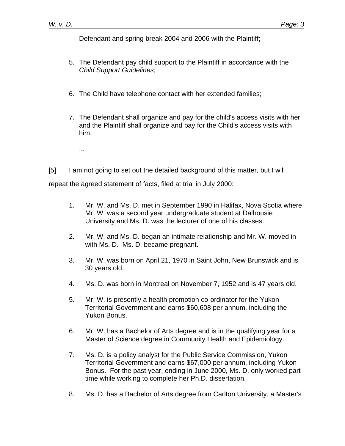Defendant and spring break 2004 and 2006 with the Plaintiff;

- 5. The Defendant pay child support to the Plaintiff in accordance with the *Child Support Guidelines*;
- 6. The Child have telephone contact with her extended families;
- 7. The Defendant shall organize and pay for the child's access visits with her and the Plaintiff shall organize and pay for the Child's access visits with him.
	- ...

[5] I am not going to set out the detailed background of this matter, but I will repeat the agreed statement of facts, filed at trial in July 2000:

- 1. Mr. W. and Ms. D. met in September 1990 in Halifax, Nova Scotia where Mr. W. was a second year undergraduate student at Dalhousie University and Ms. D. was the lecturer of one of his classes.
- 2. Mr. W. and Ms. D. began an intimate relationship and Mr. W. moved in with Ms. D. Ms. D. became pregnant.
- 3. Mr. W. was born on April 21, 1970 in Saint John, New Brunswick and is 30 years old.
- 4. Ms. D. was born in Montreal on November 7, 1952 and is 47 years old.
- 5. Mr. W. is presently a health promotion co-ordinator for the Yukon Territorial Government and earns \$60,608 per annum, including the Yukon Bonus.
- 6. Mr. W. has a Bachelor of Arts degree and is in the qualifying year for a Master of Science degree in Community Health and Epidemiology.
- 7. Ms. D. is a policy analyst for the Public Service Commission, Yukon Territorial Government and earns \$67,000 per annum, including Yukon Bonus. For the past year, ending in June 2000, Ms. D. only worked part time while working to complete her Ph.D. dissertation.
- 8. Ms. D. has a Bachelor of Arts degree from Carlton University, a Master's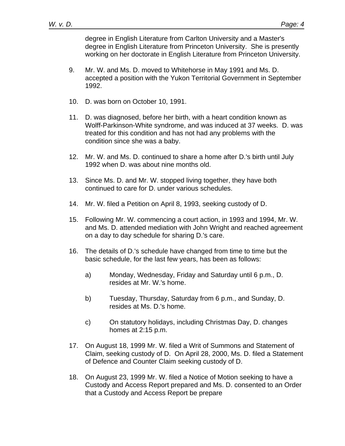degree in English Literature from Carlton University and a Master's degree in English Literature from Princeton University. She is presently working on her doctorate in English Literature from Princeton University.

- 9. Mr. W. and Ms. D. moved to Whitehorse in May 1991 and Ms. D. accepted a position with the Yukon Territorial Government in September 1992.
- 10. D. was born on October 10, 1991.
- 11. D. was diagnosed, before her birth, with a heart condition known as Wolff-Parkinson-White syndrome, and was induced at 37 weeks. D. was treated for this condition and has not had any problems with the condition since she was a baby.
- 12. Mr. W. and Ms. D. continued to share a home after D.'s birth until July 1992 when D. was about nine months old.
- 13. Since Ms. D. and Mr. W. stopped living together, they have both continued to care for D. under various schedules.
- 14. Mr. W. filed a Petition on April 8, 1993, seeking custody of D.
- 15. Following Mr. W. commencing a court action, in 1993 and 1994, Mr. W. and Ms. D. attended mediation with John Wright and reached agreement on a day to day schedule for sharing D.'s care.
- 16. The details of D.'s schedule have changed from time to time but the basic schedule, for the last few years, has been as follows:
	- a) Monday, Wednesday, Friday and Saturday until 6 p.m., D. resides at Mr. W.'s home.
	- b) Tuesday, Thursday, Saturday from 6 p.m., and Sunday, D. resides at Ms. D.'s home.
	- c) On statutory holidays, including Christmas Day, D. changes homes at 2:15 p.m.
- 17. On August 18, 1999 Mr. W. filed a Writ of Summons and Statement of Claim, seeking custody of D. On April 28, 2000, Ms. D. filed a Statement of Defence and Counter Claim seeking custody of D.
- 18. On August 23, 1999 Mr. W. filed a Notice of Motion seeking to have a Custody and Access Report prepared and Ms. D. consented to an Order that a Custody and Access Report be prepare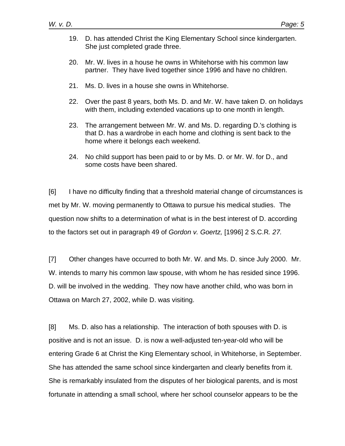- 19. D. has attended Christ the King Elementary School since kindergarten. She just completed grade three.
- 20. Mr. W. lives in a house he owns in Whitehorse with his common law partner. They have lived together since 1996 and have no children.
- 21. Ms. D. lives in a house she owns in Whitehorse.
- 22. Over the past 8 years, both Ms. D. and Mr. W. have taken D. on holidays with them, including extended vacations up to one month in length.
- 23. The arrangement between Mr. W. and Ms. D. regarding D.'s clothing is that D. has a wardrobe in each home and clothing is sent back to the home where it belongs each weekend.
- 24. No child support has been paid to or by Ms. D. or Mr. W. for D., and some costs have been shared.

[6] I have no difficulty finding that a threshold material change of circumstances is met by Mr. W. moving permanently to Ottawa to pursue his medical studies. The question now shifts to a determination of what is in the best interest of D. according to the factors set out in paragraph 49 of *Gordon v. Goertz,* [1996] 2 S.C.R*. 27.* 

[7] Other changes have occurred to both Mr. W. and Ms. D. since July 2000. Mr. W. intends to marry his common law spouse, with whom he has resided since 1996. D. will be involved in the wedding. They now have another child, who was born in Ottawa on March 27, 2002, while D. was visiting.

[8] Ms. D. also has a relationship. The interaction of both spouses with D. is positive and is not an issue. D. is now a well-adjusted ten-year-old who will be entering Grade 6 at Christ the King Elementary school, in Whitehorse, in September. She has attended the same school since kindergarten and clearly benefits from it. She is remarkably insulated from the disputes of her biological parents, and is most fortunate in attending a small school, where her school counselor appears to be the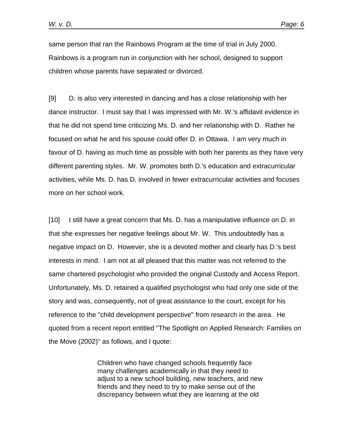same person that ran the Rainbows Program at the time of trial in July 2000. Rainbows is a program run in conjunction with her school, designed to support children whose parents have separated or divorced.

[9] D. is also very interested in dancing and has a close relationship with her dance instructor. I must say that I was impressed with Mr. W.'s affidavit evidence in that he did not spend time criticizing Ms. D. and her relationship with D. Rather he focused on what he and his spouse could offer D. in Ottawa. I am very much in favour of D. having as much time as possible with both her parents as they have very different parenting styles. Mr. W. promotes both D.'s education and extracurricular activities, while Ms. D. has D. involved in fewer extracurricular activities and focuses more on her school work.

[10] I still have a great concern that Ms. D. has a manipulative influence on D. in that she expresses her negative feelings about Mr. W. This undoubtedly has a negative impact on D. However, she is a devoted mother and clearly has D.'s best interests in mind. I am not at all pleased that this matter was not referred to the same chartered psychologist who provided the original Custody and Access Report. Unfortunately, Ms. D. retained a qualified psychologist who had only one side of the story and was, consequently, not of great assistance to the court, except for his reference to the "child development perspective" from research in the area. He quoted from a recent report entitled "The Spotlight on Applied Research: Families on the Move (2002)" as follows, and I quote:

> Children who have changed schools frequently face many challenges academically in that they need to adjust to a new school building, new teachers, and new friends and they need to try to make sense out of the discrepancy between what they are learning at the old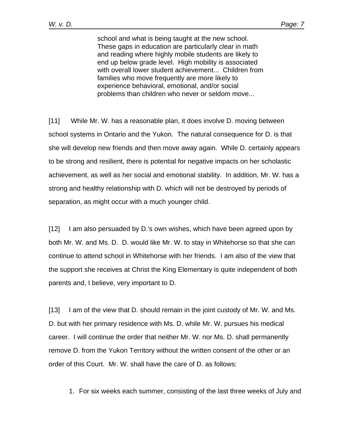school and what is being taught at the new school. These gaps in education are particularly clear in math and reading where highly mobile students are likely to end up below grade level. High mobility is associated with overall lower student achievement... Children from families who move frequently are more likely to experience behavioral, emotional, and/or social problems than children who never or seldom move...

[11] While Mr. W. has a reasonable plan, it does involve D. moving between school systems in Ontario and the Yukon. The natural consequence for D. is that she will develop new friends and then move away again. While D. certainly appears to be strong and resilient, there is potential for negative impacts on her scholastic achievement, as well as her social and emotional stability. In addition, Mr. W. has a strong and healthy relationship with D. which will not be destroyed by periods of separation, as might occur with a much younger child.

[12] I am also persuaded by D.'s own wishes, which have been agreed upon by both Mr. W. and Ms. D. D. would like Mr. W. to stay in Whitehorse so that she can continue to attend school in Whitehorse with her friends. I am also of the view that the support she receives at Christ the King Elementary is quite independent of both parents and, I believe, very important to D.

[13] I am of the view that D. should remain in the joint custody of Mr. W. and Ms. D. but with her primary residence with Ms. D. while Mr. W. pursues his medical career. I will continue the order that neither Mr. W. nor Ms. D. shall permanently remove D. from the Yukon Territory without the written consent of the other or an order of this Court. Mr. W. shall have the care of D. as follows:

1. For six weeks each summer, consisting of the last three weeks of July and